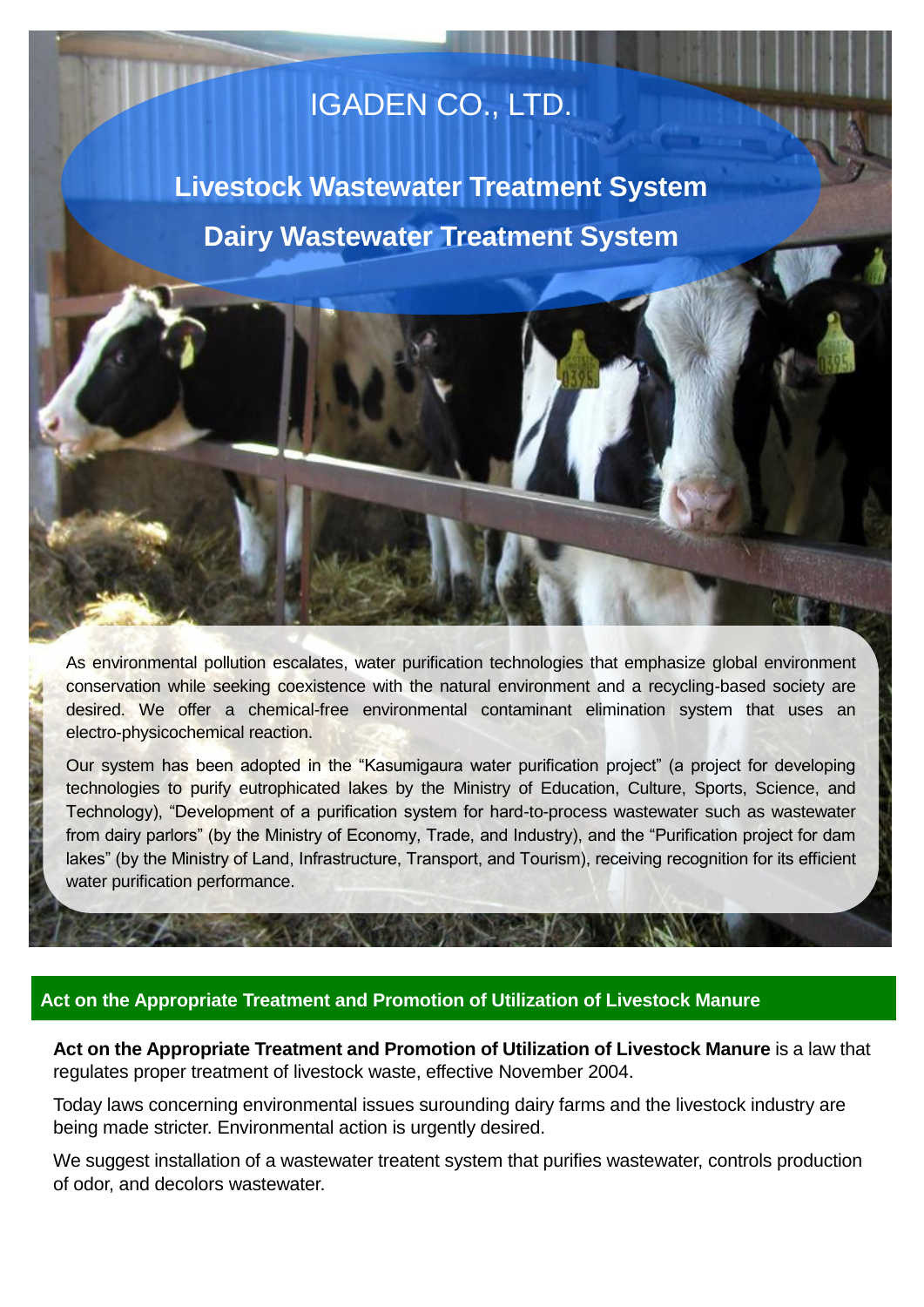# IGADEN CO., LTD.

**Livestock Wastewater Treatment System Dairy Wastewater Treatment System**

As environmental pollution escalates, water purification technologies that emphasize global environment conservation while seeking coexistence with the natural environment and a recycling-based society are desired. We offer a chemical-free environmental contaminant elimination system that uses an electro-physicochemical reaction.

Our system has been adopted in the "Kasumigaura water purification project" (a project for developing technologies to purify eutrophicated lakes by the Ministry of Education, Culture, Sports, Science, and Technology), "Development of a purification system for hard-to-process wastewater such as wastewater from dairy parlors" (by the Ministry of Economy, Trade, and Industry), and the "Purification project for dam lakes" (by the Ministry of Land, Infrastructure, Transport, and Tourism), receiving recognition for its efficient water purification performance.

# **Act on the Appropriate Treatment and Promotion of Utilization of Livestock Manure**

**Act on the Appropriate Treatment and Promotion of Utilization of Livestock Manure** is a law that regulates proper treatment of livestock waste, effective November 2004.

Today laws concerning environmental issues surounding dairy farms and the livestock industry are being made stricter. Environmental action is urgently desired.

We suggest installation of a wastewater treatent system that purifies wastewater, controls production of odor, and decolors wastewater.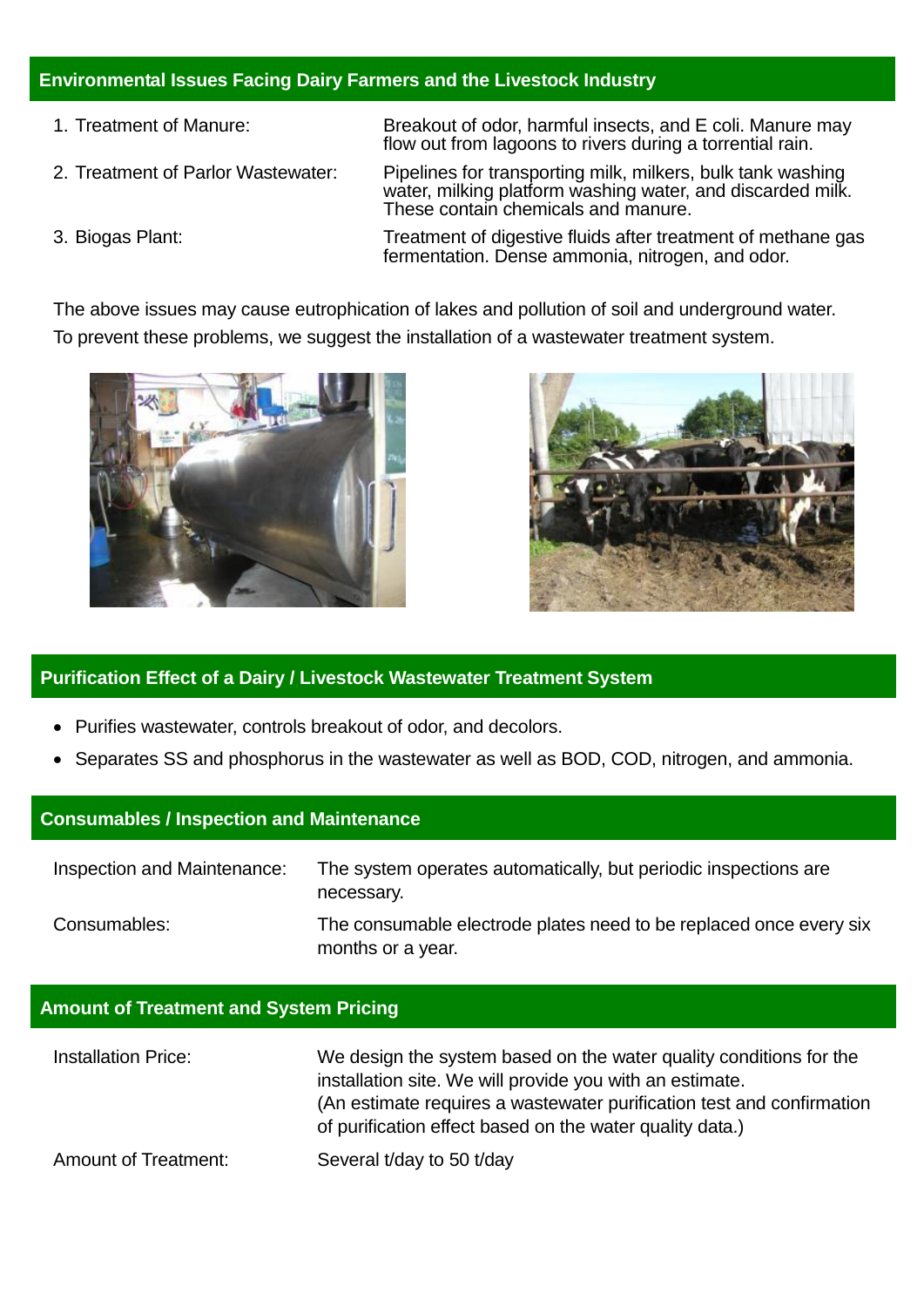# **Environmental Issues Facing Dairy Farmers and the Livestock Industry**

- 1. Treatment of Manure: Breakout of odor, harmful insects, and E coli. Manure may
- 

flow out from lagoons to rivers during a torrential rain. 2. Treatment of Parlor Wastewater: Pipelines for transporting milk, milkers, bulk tank washing water, milking platform washing water, and discarded milk.

These contain chemicals and manure.

3. Biogas Plant: Treatment of digestive fluids after treatment of methane gas fermentation. Dense ammonia, nitrogen, and odor.

The above issues may cause eutrophication of lakes and pollution of soil and underground water. To prevent these problems, we suggest the installation of a wastewater treatment system.





# **Purification Effect of a Dairy / Livestock Wastewater Treatment System**

- Purifies wastewater, controls breakout of odor, and decolors.
- Separates SS and phosphorus in the wastewater as well as BOD, COD, nitrogen, and ammonia.

# **Consumables / Inspection and Maintenance**

| Inspection and Maintenance: | The system operates automatically, but periodic inspections are<br>necessary.           |
|-----------------------------|-----------------------------------------------------------------------------------------|
| Consumables:                | The consumable electrode plates need to be replaced once every six<br>months or a year. |

# **Amount of Treatment and System Pricing**

| <b>Installation Price:</b>  | We design the system based on the water quality conditions for the<br>installation site. We will provide you with an estimate.<br>(An estimate requires a wastewater purification test and confirmation<br>of purification effect based on the water quality data.) |
|-----------------------------|---------------------------------------------------------------------------------------------------------------------------------------------------------------------------------------------------------------------------------------------------------------------|
| <b>Amount of Treatment:</b> | Several t/day to 50 t/day                                                                                                                                                                                                                                           |